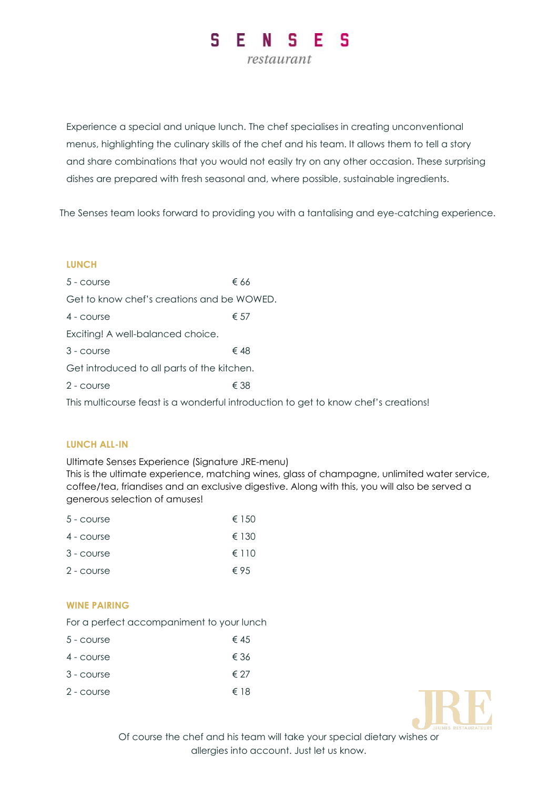

Experience a special and unique lunch. The chef specialises in creating unconventional menus, highlighting the culinary skills of the chef and his team. It allows them to tell a story and share combinations that you would not easily try on any other occasion. These surprising dishes are prepared with fresh seasonal and, where possible, sustainable ingredients.

The Senses team looks forward to providing you with a tantalising and eye-catching experience.

### **LUNCH**

| 5 - course                                  | € 66                                                                                |
|---------------------------------------------|-------------------------------------------------------------------------------------|
| Get to know chef's creations and be WOWED.  |                                                                                     |
| 4 - course                                  | $\epsilon$ 57                                                                       |
| Exciting! A well-balanced choice.           |                                                                                     |
| 3 - course                                  | € 48                                                                                |
| Get introduced to all parts of the kitchen. |                                                                                     |
| 2 - course                                  | € 38                                                                                |
|                                             | This multicourse feast is a wonderful introduction to get to know chef's creations! |

### **LUNCH ALL-IN**

Ultimate Senses Experience (Signature JRE-menu)

This is the ultimate experience, matching wines, glass of champagne, unlimited water service, coffee/tea, friandises and an exclusive digestive. Along with this, you will also be served a generous selection of amuses!

| $5 - \text{course}$ | € 150          |
|---------------------|----------------|
| 4 - course          | € 130          |
| 3 - course          | $\epsilon$ 110 |
| 2 - course          | $\epsilon$ 95  |
|                     |                |

# **WINE PAIRING**

For a perfect accompaniment to your lunch

| $5 - \text{course}$ | € 45 |
|---------------------|------|
| 4 - course          | € 36 |
| $3 - \text{course}$ | € 27 |
| 2 - course          | € 18 |



Of course the chef and his team will take your special dietary wishes or allergies into account. Just let us know.